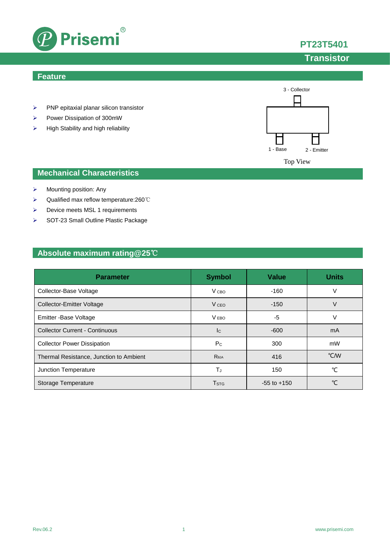

### **Feature**

- $\triangleright$  PNP epitaxial planar silicon transistor
- Power Dissipation of 300mW
- $\triangleright$  High Stability and high reliability



### **Mechanical Characteristics**

- $\triangleright$  Mounting position: Any
- Qualified max reflow temperature:260℃
- ▶ Device meets MSL 1 requirements
- SOT-23 Small Outline Plastic Package

## **Absolute maximum rating@25**℃

| <b>Parameter</b>                        | <b>Symbol</b>           | <b>Value</b>    | <b>Units</b> |
|-----------------------------------------|-------------------------|-----------------|--------------|
| Collector-Base Voltage                  | V <sub>CBO</sub>        | $-160$          | V            |
| <b>Collector-Emitter Voltage</b>        | V <sub>CEO</sub>        | $-150$          | V            |
| Emitter - Base Voltage                  | V <sub>EBO</sub>        | $-5$            | V            |
| <b>Collector Current - Continuous</b>   | $_{\rm lc}$             | $-600$          | mA           |
| <b>Collector Power Dissipation</b>      | $P_{C}$                 | 300             | mW           |
| Thermal Resistance, Junction to Ambient | Reja                    | 416             | °C/W         |
| Junction Temperature                    | TJ                      | 150             | °C           |
| Storage Temperature                     | <b>T</b> <sub>STG</sub> | $-55$ to $+150$ | °C           |

**PT23T5401**

# **Transistor**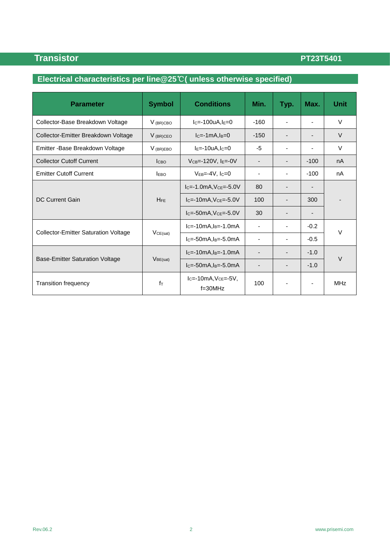# **Electrical characteristics per line@25**℃**( unless otherwise specified)**

| <b>Parameter</b>                            | <b>Symbol</b>         | <b>Conditions</b>                   | Min.                         | Typ.                     | Max.                     | <b>Unit</b> |  |
|---------------------------------------------|-----------------------|-------------------------------------|------------------------------|--------------------------|--------------------------|-------------|--|
| Collector-Base Breakdown Voltage            | $V$ (BR)CBO           | $IC=-100uA, IE=0$                   | $-160$                       |                          |                          | $\vee$      |  |
| Collector-Emitter Breakdown Voltage         | $V$ (BR)CEO           | $lc=1mA, l_B=0$                     | $-150$                       |                          | $\overline{\phantom{a}}$ | $\vee$      |  |
| Emitter - Base Breakdown Voltage            | $V_{(BR)EBO}$         | $IE=-10uA, IC=0$                    | -5                           | ٠                        | ٠                        | $\vee$      |  |
| <b>Collector Cutoff Current</b>             | <b>Ісво</b>           | $VCB=-120V, IE=-0V$                 |                              |                          | $-100$                   | nA          |  |
| <b>Emitter Cutoff Current</b>               | <b>EBO</b>            | $V_{EB} = -4V$ , $I_C = 0$          | -                            | $\overline{\phantom{a}}$ | $-100$                   | nA          |  |
| DC Current Gain                             | <b>H<sub>FF</sub></b> | $IC=-1.0mA, VCE=-5.0V$              | 80                           |                          |                          |             |  |
|                                             |                       | $IC=-10mA, VCE=-5.0V$               | 100                          |                          | 300                      |             |  |
|                                             |                       | $lc=50mA, Vce=.5.0V$                | 30                           |                          | -                        |             |  |
| <b>Collector-Emitter Saturation Voltage</b> | VCE(sat)              | $IC=-10mA, IB=-1.0mA$               | ٠                            |                          | $-0.2$                   |             |  |
|                                             |                       | $lc = -50mA$ , $ls = -5.0mA$        |                              |                          | $-0.5$                   | $\vee$      |  |
| <b>Base-Emitter Saturation Voltage</b>      | $V_{BE(sat)}$         | $lc = -10mA, l_B = -1.0mA$          | $\qquad \qquad \blacksquare$ |                          | $-1.0$                   |             |  |
|                                             |                       | $lc=50mA, l_B=.5.0mA$               | $\overline{\phantom{0}}$     |                          | $-1.0$                   | $\vee$      |  |
| <b>Transition frequency</b>                 | $f_{\text{T}}$        | $lc=10mA, Vce=.5V,$<br>$f = 30$ MHz | 100                          |                          | -                        | <b>MHz</b>  |  |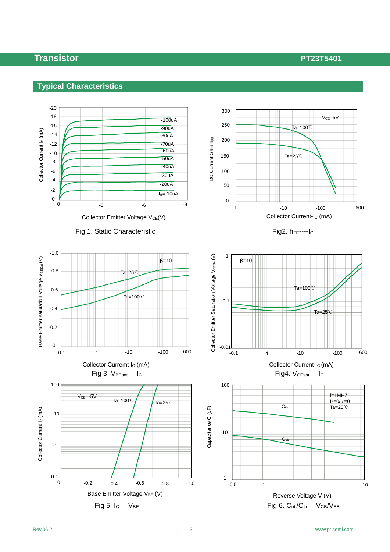

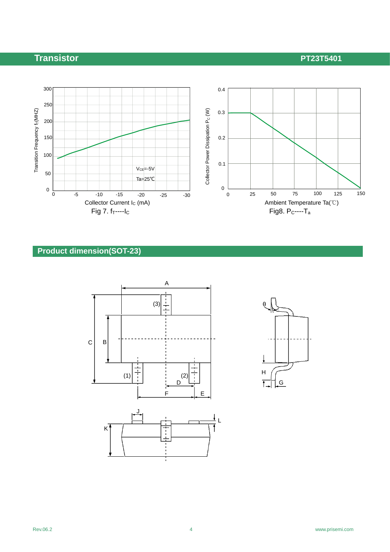

## **Product dimension(SOT-23)**



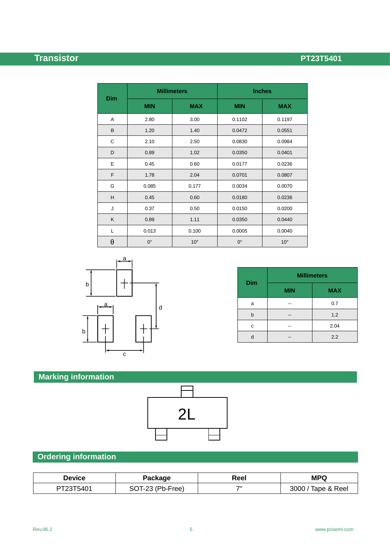|            | <b>Millimeters</b> |              | <b>Inches</b> |              |  |
|------------|--------------------|--------------|---------------|--------------|--|
| <b>Dim</b> | <b>MIN</b>         | <b>MAX</b>   | <b>MIN</b>    | <b>MAX</b>   |  |
| Α          | 2.80               | 3.00         | 0.1102        | 0.1197       |  |
| B          | 1.20               | 1.40         | 0.0472        | 0.0551       |  |
| С          | 2.10               | 2.50         | 0.0830        | 0.0984       |  |
| D          | 0.89               | 1.02         | 0.0350        | 0.0401       |  |
| E          | 0.45               | 0.60         | 0.0177        | 0.0236       |  |
| F          | 1.78               | 2.04         | 0.0701        | 0.0807       |  |
| G          | 0.085              | 0.177        | 0.0034        | 0.0070       |  |
| H          | 0.45               | 0.60         | 0.0180        | 0.0236       |  |
| J          | 0.37               | 0.50         | 0.0150        | 0.0200       |  |
| Κ          | 0.89               | 1.11         | 0.0350        | 0.0440       |  |
| L          | 0.013              | 0.100        | 0.0005        | 0.0040       |  |
| θ          | $0^{\circ}$        | $10^{\circ}$ | $0^{\circ}$   | $10^{\circ}$ |  |



| <b>Dim</b> | <b>Millimeters</b> |            |  |
|------------|--------------------|------------|--|
|            | <b>MIN</b>         | <b>MAX</b> |  |
| a          |                    | 0.7        |  |
| b          |                    | 1.2        |  |
| c          |                    | 2.04       |  |
|            |                    | 2.2        |  |

# **Marking information**



# **Ordering information**

| Device    | Package          | Reel | <b>MPQ</b>         |
|-----------|------------------|------|--------------------|
| PT23T5401 | SOT-23 (Pb-Free) | フリ   | 3000 / Tape & Reel |